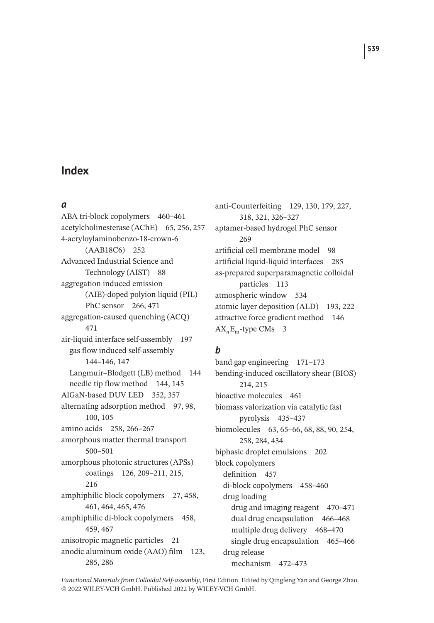#### *a*

ABA tri-block copolymers 460–461 acetylcholinesterase (AChE) 65, 256, 257 4-acryloylaminobenzo-18-crown-6 (AAB18C6) 252 Advanced Industrial Science and Technology (AIST) 88 aggregation induced emission (AIE)-doped polyion liquid (PIL) PhC sensor 266, 471 aggregation-caused quenching (ACQ) 471 air-liquid interface self-assembly 197 gas flow induced self-assembly 144–146, 147 Langmuir–Blodgett (LB) method 144 needle tip flow method 144, 145 AlGaN-based DUV LED 352, 357 alternating adsorption method 97, 98, 100, 105 amino acids 258, 266–267 amorphous matter thermal transport 500–501 amorphous photonic structures (APSs) coatings 126, 209–211, 215, 216 amphiphilic block copolymers 27, 458, 461, 464, 465, 476 amphiphilic di-block copolymers 458, 459, 467 anisotropic magnetic particles 21 anodic aluminum oxide (AAO) film 123, 285, 286

anti-Counterfeiting 129, 130, 179, 227, 318, 321, 326–327 aptamer-based hydrogel PhC sensor 269 artificial cell membrane model 98 artificial liquid-liquid interfaces 285 as-prepared superparamagnetic colloidal particles 113 atmospheric window 534 atomic layer deposition (ALD) 193, 222 attractive force gradient method 146 AX*n*Em-type CMs 3

### *b*

band gap engineering 171–173 bending-induced oscillatory shear (BIOS) 214, 215 bioactive molecules 461 biomass valorization via catalytic fast pyrolysis 435–437 biomolecules 63, 65–66, 68, 88, 90, 254, 258, 284, 434 biphasic droplet emulsions 202 block copolymers definition 457 di-block copolymers 458–460 drug loading drug and imaging reagent 470–471 dual drug encapsulation 466–468 multiple drug delivery 468–470 single drug encapsulation 465–466 drug release mechanism 472–473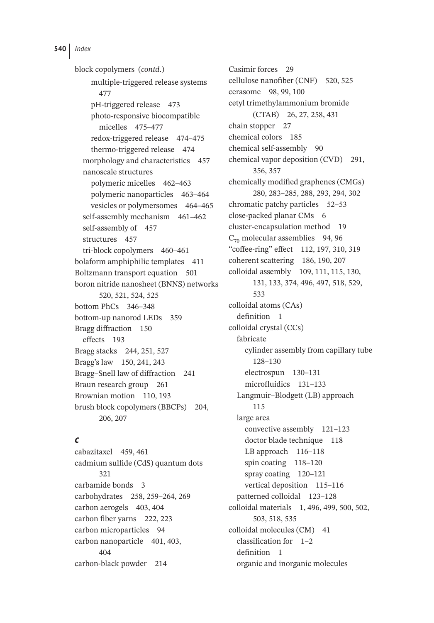block copolymers (*contd*.) multiple-triggered release systems 477 pH-triggered release 473 photo-responsive biocompatible micelles 475–477 redox-triggered release 474–475 thermo-triggered release 474 morphology and characteristics 457 nanoscale structures polymeric micelles 462–463 polymeric nanoparticles 463–464 vesicles or polymersomes 464–465 self-assembly mechanism 461–462 self-assembly of 457 structures 457 tri-block copolymers 460–461 bolaform amphiphilic templates 411 Boltzmann transport equation 501 boron nitride nanosheet (BNNS) networks 520, 521, 524, 525 bottom PhCs 346–348 bottom-up nanorod LEDs 359 Bragg diffraction 150 effects 193 Bragg stacks 244, 251, 527 Bragg's law 150, 241, 243 Bragg–Snell law of diffraction 241 Braun research group 261 Brownian motion 110, 193 brush block copolymers (BBCPs) 204, 206, 207

### *c*

cabazitaxel 459, 461 cadmium sulfide (CdS) quantum dots 321 carbamide bonds 3 carbohydrates 258, 259–264, 269 carbon aerogels 403, 404 carbon fiber yarns 222, 223 carbon microparticles 94 carbon nanoparticle 401, 403, 404 carbon-black powder 214

Casimir forces 29 cellulose nanofiber (CNF) 520, 525 cerasome 98, 99, 100 cetyl trimethylammonium bromide (CTAB) 26, 27, 258, 431 chain stopper 27 chemical colors 185 chemical self-assembly 90 chemical vapor deposition (CVD) 291, 356, 357 chemically modified graphenes (CMGs) 280, 283–285, 288, 293, 294, 302 chromatic patchy particles 52–53 close-packed planar CMs 6 cluster-encapsulation method 19  $C_{70}$  molecular assemblies 94, 96 "coffee-ring" effect 112, 197, 310, 319 coherent scattering 186, 190, 207 colloidal assembly 109, 111, 115, 130, 131, 133, 374, 496, 497, 518, 529, 533 colloidal atoms (CAs) definition 1 colloidal crystal (CCs) fabricate cylinder assembly from capillary tube 128–130 electrospun 130–131 microfluidics 131–133 Langmuir–Blodgett (LB) approach 115 large area convective assembly 121–123 doctor blade technique 118 LB approach 116–118 spin coating 118–120 spray coating 120–121 vertical deposition 115–116 patterned colloidal 123–128 colloidal materials 1, 496, 499, 500, 502, 503, 518, 535 colloidal molecules (CM) 41 classification for 1–2 definition 1 organic and inorganic molecules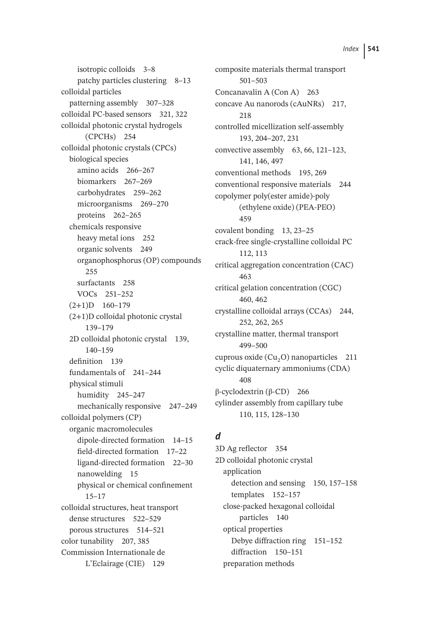isotropic colloids 3–8 patchy particles clustering 8–13 colloidal particles patterning assembly 307–328 colloidal PC-based sensors 321, 322 colloidal photonic crystal hydrogels (CPCHs) 254 colloidal photonic crystals (CPCs) biological species amino acids 266–267 biomarkers 267–269 carbohydrates 259–262 microorganisms 269–270 proteins 262–265 chemicals responsive heavy metal ions 252 organic solvents 249 organophosphorus (OP) compounds 255 surfactants 258 VOCs 251–252  $(2+1)D$  160–179 (2+1)D colloidal photonic crystal 139–179 2D colloidal photonic crystal 139, 140–159 definition 139 fundamentals of 241–244 physical stimuli humidity 245–247 mechanically responsive 247–249 colloidal polymers (CP) organic macromolecules dipole-directed formation 14–15 field-directed formation 17–22 ligand-directed formation 22–30 nanowelding 15 physical or chemical confinement 15–17 colloidal structures, heat transport dense structures 522–529 porous structures 514–521 color tunability 207, 385 Commission Internationale de L'Eclairage (CIE) 129

composite materials thermal transport 501–503 Concanavalin A (Con A) 263 concave Au nanorods (cAuNRs) 217, 218 controlled micellization self-assembly 193, 204–207, 231 convective assembly 63, 66, 121–123, 141, 146, 497 conventional methods 195, 269 conventional responsive materials 244 copolymer poly(ester amide)-poly (ethylene oxide) (PEA-PEO) 459 covalent bonding 13, 23–25 crack-free single-crystalline colloidal PC 112, 113 critical aggregation concentration (CAC) 463 critical gelation concentration (CGC) 460, 462 crystalline colloidal arrays (CCAs) 244, 252, 262, 265 crystalline matter, thermal transport 499–500 cuprous oxide  $(Cu, O)$  nanoparticles 211 cyclic diquaternary ammoniums (CDA) 408 β-cyclodextrin (β-CD) 266 cylinder assembly from capillary tube 110, 115, 128–130

# *d*

3D Ag reflector 354 2D colloidal photonic crystal application detection and sensing 150, 157–158 templates 152–157 close-packed hexagonal colloidal particles 140 optical properties Debye diffraction ring 151–152 diffraction 150–151 preparation methods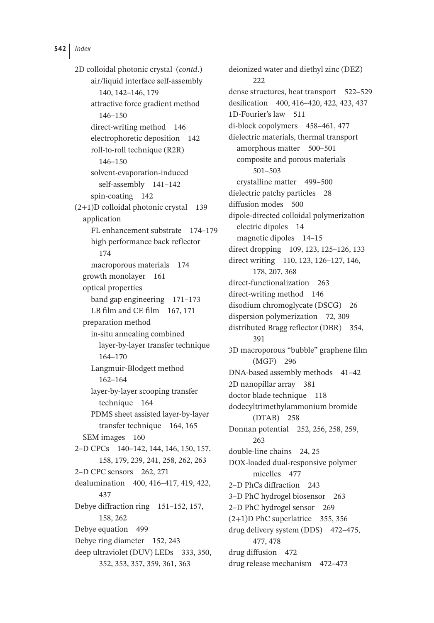2D colloidal photonic crystal (*contd*.) air/liquid interface self-assembly 140, 142–146, 179 attractive force gradient method 146–150 direct-writing method 146 electrophoretic deposition 142 roll-to-roll technique (R2R) 146–150 solvent-evaporation-induced self-assembly 141–142 spin-coating 142 (2+1)D colloidal photonic crystal 139 application FL enhancement substrate 174–179 high performance back reflector 174 macroporous materials 174 growth monolayer 161 optical properties band gap engineering 171–173 LB film and CE film 167, 171 preparation method in-situ annealing combined layer-by-layer transfer technique 164–170 Langmuir-Blodgett method 162–164 layer-by-layer scooping transfer technique 164 PDMS sheet assisted layer-by-layer transfer technique 164, 165 SEM images 160 2–D CPCs 140–142, 144, 146, 150, 157, 158, 179, 239, 241, 258, 262, 263 2–D CPC sensors 262, 271 dealumination 400, 416–417, 419, 422, 437 Debye diffraction ring 151–152, 157, 158, 262 Debye equation 499 Debye ring diameter 152, 243 deep ultraviolet (DUV) LEDs 333, 350, 352, 353, 357, 359, 361, 363

deionized water and diethyl zinc (DEZ) 222 dense structures, heat transport 522–529 desilication 400, 416–420, 422, 423, 437 1D-Fourier's law 511 di-block copolymers 458–461, 477 dielectric materials, thermal transport amorphous matter 500–501 composite and porous materials 501–503 crystalline matter 499–500 dielectric patchy particles 28 diffusion modes 500 dipole-directed colloidal polymerization electric dipoles 14 magnetic dipoles 14–15 direct dropping 109, 123, 125–126, 133 direct writing 110, 123, 126–127, 146, 178, 207, 368 direct-functionalization 263 direct-writing method 146 disodium chromoglycate (DSCG) 26 dispersion polymerization 72, 309 distributed Bragg reflector (DBR) 354, 391 3D macroporous "bubble" graphene film (MGF) 296 DNA-based assembly methods 41-42 2D nanopillar array 381 doctor blade technique 118 dodecyltrimethylammonium bromide (DTAB) 258 Donnan potential 252, 256, 258, 259, 263 double-line chains 24, 25 DOX-loaded dual-responsive polymer micelles 477 2–D PhCs diffraction 243 3–D PhC hydrogel biosensor 263 2–D PhC hydrogel sensor 269 (2+1)D PhC superlattice 355, 356 drug delivery system (DDS) 472–475, 477, 478 drug diffusion 472 drug release mechanism 472–473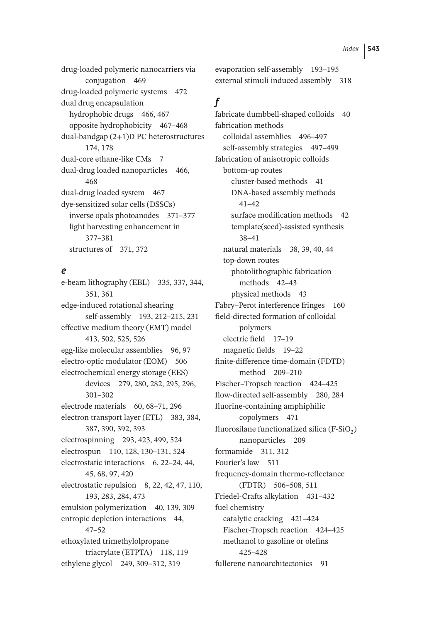drug-loaded polymeric nanocarriers via conjugation 469 drug-loaded polymeric systems 472 dual drug encapsulation hydrophobic drugs 466, 467 opposite hydrophobicity 467–468 dual-bandgap (2+1)D PC heterostructures 174, 178 dual-core ethane-like CMs 7 dual-drug loaded nanoparticles 466, 468 dual-drug loaded system 467 dye-sensitized solar cells (DSSCs) inverse opals photoanodes 371–377 light harvesting enhancement in 377–381 structures of 371, 372

#### *e*

e-beam lithography (EBL) 335, 337, 344, 351, 361 edge-induced rotational shearing self-assembly 193, 212–215, 231 effective medium theory (EMT) model 413, 502, 525, 526 egg-like molecular assemblies 96, 97 electro-optic modulator (EOM) 506 electrochemical energy storage (EES) devices 279, 280, 282, 295, 296, 301–302 electrode materials 60, 68–71, 296 electron transport layer (ETL) 383, 384, 387, 390, 392, 393 electrospinning 293, 423, 499, 524 electrospun 110, 128, 130–131, 524 electrostatic interactions 6, 22–24, 44, 45, 68, 97, 420 electrostatic repulsion 8, 22, 42, 47, 110, 193, 283, 284, 473 emulsion polymerization 40, 139, 309 entropic depletion interactions 44, 47–52 ethoxylated trimethylolpropane triacrylate (ETPTA) 118, 119 ethylene glycol 249, 309–312, 319

evaporation self-assembly 193–195 external stimuli induced assembly 318

## *f*

fabricate dumbbell-shaped colloids 40 fabrication methods colloidal assemblies 496–497 self-assembly strategies 497–499 fabrication of anisotropic colloids bottom-up routes cluster-based methods 41 DNA-based assembly methods 41–42 surface modification methods 42 template(seed)-assisted synthesis 38–41 natural materials 38, 39, 40, 44 top-down routes photolithographic fabrication methods 42–43 physical methods 43 Fabry–Perot interference fringes 160 field-directed formation of colloidal polymers electric field 17–19 magnetic fields 19–22 finite-difference time-domain (FDTD) method 209–210 Fischer–Tropsch reaction 424–425 flow-directed self-assembly 280, 284 fluorine-containing amphiphilic copolymers 471 fluorosilane functionalized silica (F-SiO<sub>2</sub>) nanoparticles 209 formamide 311, 312 Fourier's law 511 frequency-domain thermo-reflectance (FDTR) 506–508, 511 Friedel-Crafts alkylation 431–432 fuel chemistry catalytic cracking 421–424 Fischer-Tropsch reaction 424–425 methanol to gasoline or olefins 425–428 fullerene nanoarchitectonics 91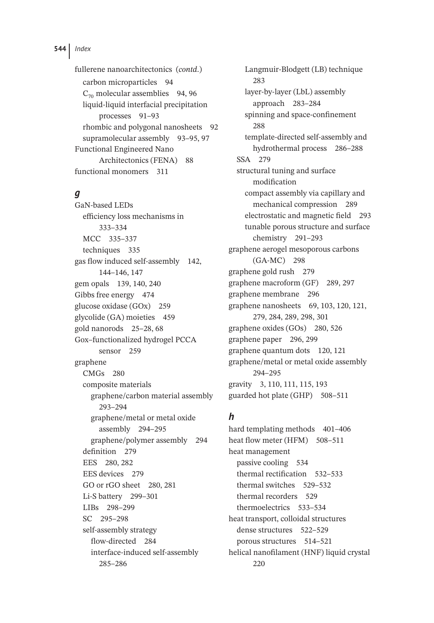fullerene nanoarchitectonics (*contd*.) carbon microparticles 94  $C_{70}$  molecular assemblies 94, 96 liquid-liquid interfacial precipitation processes 91–93 rhombic and polygonal nanosheets 92 supramolecular assembly 93–95, 97 Functional Engineered Nano Architectonics (FENA) 88 functional monomers 311

### *g*

GaN-based LEDs efficiency loss mechanisms in 333–334 MCC 335–337 techniques 335 gas flow induced self-assembly 142, 144–146, 147 gem opals 139, 140, 240 Gibbs free energy 474 glucose oxidase (GOx) 259 glycolide (GA) moieties 459 gold nanorods 25–28, 68 Gox–functionalized hydrogel PCCA sensor 259 graphene CMGs 280 composite materials graphene/carbon material assembly 293–294 graphene/metal or metal oxide assembly 294–295 graphene/polymer assembly 294 definition 279 EES 280, 282 EES devices 279 GO or rGO sheet 280, 281 Li-S battery 299–301 LIBs 298–299 SC 295–298 self-assembly strategy flow-directed 284 interface-induced self-assembly 285–286

Langmuir-Blodgett (LB) technique 283 layer-by-layer (LbL) assembly approach 283–284 spinning and space-confinement 288 template-directed self-assembly and hydrothermal process 286–288 SSA 279 structural tuning and surface modification compact assembly via capillary and mechanical compression 289 electrostatic and magnetic field 293 tunable porous structure and surface chemistry 291–293 graphene aerogel mesoporous carbons (GA-MC) 298 graphene gold rush 279 graphene macroform (GF) 289, 297 graphene membrane 296 graphene nanosheets 69, 103, 120, 121, 279, 284, 289, 298, 301 graphene oxides (GOs) 280, 526 graphene paper 296, 299 graphene quantum dots 120, 121 graphene/metal or metal oxide assembly 294–295 gravity 3, 110, 111, 115, 193 guarded hot plate (GHP) 508–511

# *h*

hard templating methods 401-406 heat flow meter (HFM) 508-511 heat management passive cooling 534 thermal rectification 532–533 thermal switches 529–532 thermal recorders 529 thermoelectrics 533–534 heat transport, colloidal structures dense structures 522–529 porous structures 514–521 helical nanofilament (HNF) liquid crystal 220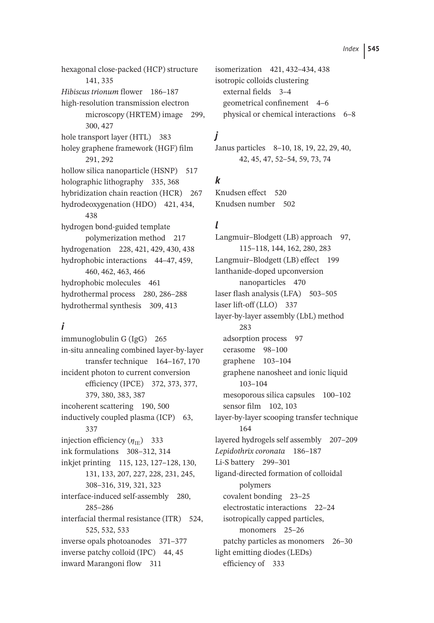hexagonal close-packed (HCP) structure 141, 335 *Hibiscus trionum* flower 186–187 high-resolution transmission electron microscopy (HRTEM) image 299, 300, 427 hole transport layer (HTL) 383 holey graphene framework (HGF) film 291, 292 hollow silica nanoparticle (HSNP) 517 holographic lithography 335, 368 hybridization chain reaction (HCR) 267 hydrodeoxygenation (HDO) 421, 434, 438 hydrogen bond-guided template polymerization method 217 hydrogenation 228, 421, 429, 430, 438 hydrophobic interactions 44–47, 459, 460, 462, 463, 466 hydrophobic molecules 461 hydrothermal process 280, 286–288 hydrothermal synthesis 309, 413

# *i*

immunoglobulin G (IgG) 265 in-situ annealing combined layer-by-layer transfer technique 164–167, 170 incident photon to current conversion efficiency (IPCE) 372, 373, 377, 379, 380, 383, 387 incoherent scattering 190, 500 inductively coupled plasma (ICP) 63, 337 injection efficiency  $(\eta_{IF})$  333 ink formulations 308–312, 314 inkjet printing 115, 123, 127–128, 130, 131, 133, 207, 227, 228, 231, 245, 308–316, 319, 321, 323 interface-induced self-assembly 280, 285–286 interfacial thermal resistance (ITR) 524, 525, 532, 533 inverse opals photoanodes 371–377 inverse patchy colloid (IPC) 44, 45 inward Marangoni flow 311

isomerization 421, 432–434, 438 isotropic colloids clustering external fields 3–4 geometrical confinement 4–6 physical or chemical interactions 6–8

# *j*

Janus particles 8–10, 18, 19, 22, 29, 40, 42, 45, 47, 52–54, 59, 73, 74

# *k*

Knudsen effect 520 Knudsen number 502

# *l*

Langmuir–Blodgett (LB) approach 97, 115–118, 144, 162, 280, 283 Langmuir–Blodgett (LB) effect 199 lanthanide-doped upconversion nanoparticles 470 laser flash analysis (LFA) 503–505 laser lift-off (LLO) 337 layer-by-layer assembly (LbL) method 283 adsorption process 97 cerasome 98–100 graphene 103–104 graphene nanosheet and ionic liquid 103–104 mesoporous silica capsules 100–102 sensor film 102, 103 layer-by-layer scooping transfer technique 164 layered hydrogels self assembly 207–209 *Lepidothrix coronata* 186–187 Li-S battery 299–301 ligand-directed formation of colloidal polymers covalent bonding 23–25 electrostatic interactions 22–24 isotropically capped particles, monomers 25-26 patchy particles as monomers 26–30 light emitting diodes (LEDs) efficiency of 333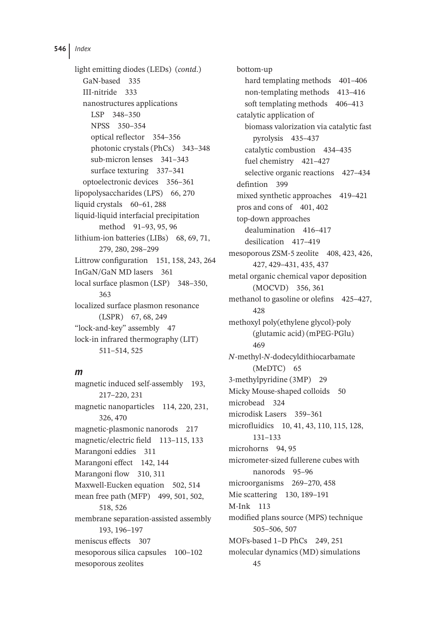light emitting diodes (LEDs) (*contd*.) GaN-based 335 III-nitride 333 nanostructures applications LSP 348–350 NPSS 350–354 optical reflector 354–356 photonic crystals (PhCs) 343–348 sub-micron lenses 341–343 surface texturing 337–341 optoelectronic devices 356–361 lipopolysaccharides (LPS) 66, 270 liquid crystals 60–61, 288 liquid-liquid interfacial precipitation method 91–93, 95, 96 lithium-ion batteries (LIBs) 68, 69, 71, 279, 280, 298–299 Littrow configuration 151, 158, 243, 264 InGaN/GaN MD lasers 361 local surface plasmon (LSP) 348–350, 363 localized surface plasmon resonance (LSPR) 67, 68, 249 "lock-and-key" assembly 47 lock-in infrared thermography (LIT) 511–514, 525

### *m*

magnetic induced self-assembly 193, 217–220, 231 magnetic nanoparticles 114, 220, 231, 326, 470 magnetic-plasmonic nanorods 217 magnetic/electric field 113–115, 133 Marangoni eddies 311 Marangoni effect 142, 144 Marangoni flow 310, 311 Maxwell-Eucken equation 502, 514 mean free path (MFP) 499, 501, 502, 518, 526 membrane separation-assisted assembly 193, 196–197 meniscus effects 307 mesoporous silica capsules 100–102 mesoporous zeolites

bottom-up hard templating methods 401-406 non-templating methods 413–416 soft templating methods 406–413 catalytic application of biomass valorization via catalytic fast pyrolysis 435–437 catalytic combustion 434–435 fuel chemistry 421–427 selective organic reactions 427–434 defintion 399 mixed synthetic approaches 419–421 pros and cons of 401, 402 top-down approaches dealumination 416–417 desilication 417–419 mesoporous ZSM-5 zeolite 408, 423, 426, 427, 429–431, 435, 437 metal organic chemical vapor deposition (MOCVD) 356, 361 methanol to gasoline or olefins 425-427, 428 methoxyl poly(ethylene glycol)-poly (glutamic acid) (mPEG-PGlu) 469 *N*-methyl-*N*-dodecyldithiocarbamate (MeDTC) 65 3-methylpyridine (3MP) 29 Micky Mouse-shaped colloids 50 microbead 324 microdisk Lasers 359–361 microfluidics 10, 41, 43, 110, 115, 128, 131–133 microhorns 94, 95 micrometer-sized fullerene cubes with nanorods 95–96 microorganisms 269–270, 458 Mie scattering 130, 189–191 M-Ink 113 modified plans source (MPS) technique 505–506, 507 MOFs-based 1–D PhCs 249, 251 molecular dynamics (MD) simulations 45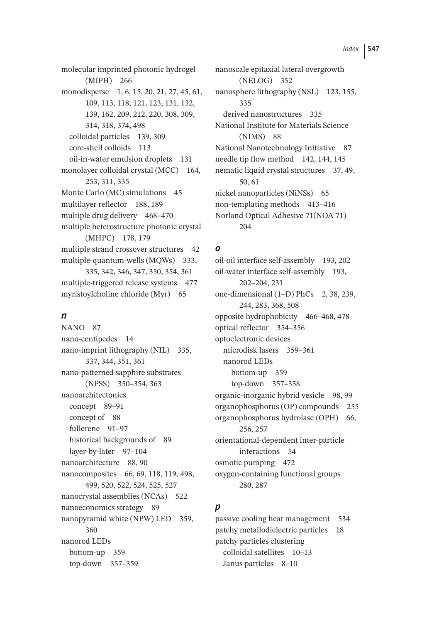molecular imprinted photonic hydrogel (MIPH) 266 monodisperse 1, 6, 15, 20, 21, 27, 45, 61, 109, 113, 118, 121, 123, 131, 132, 139, 162, 209, 212, 220, 308, 309, 314, 318, 374, 498 colloidal particles 139, 309 core-shell colloids 113 oil-in-water emulsion droplets 131 monolayer colloidal crystal (MCC) 164, 253, 311, 335 Monte Carlo (MC) simulations 45 multilayer reflector 188, 189 multiple drug delivery 468–470 multiple heterostructure photonic crystal (MHPC) 178, 179 multiple strand crossover structures 42 multiple-quantum-wells (MQWs) 333, 335, 342, 346, 347, 350, 354, 361 multiple-triggered release systems 477 myristoylcholine chloride (Myr) 65

### *n*

NANO 87 nano-centipedes 14 nano-imprint lithography (NIL) 335, 337, 344, 351, 361 nano-patterned sapphire substrates (NPSS) 350–354, 363 nanoarchitectonics concept 89–91 concept of 88 fullerene 91–97 historical backgrounds of 89 layer-by-later 97–104 nanoarchitecture 88, 90 nanocomposites 66, 69, 118, 119, 498, 499, 520, 522, 524, 525, 527 nanocrystal assemblies (NCAs) 522 nanoeconomics strategy 89 nanopyramid white (NPW) LED 359, 360 nanorod LEDs bottom-up 359 top-down 357–359

nanoscale epitaxial lateral overgrowth (NELOG) 352 nanosphere lithography (NSL) 123, 155, 335 derived nanostructures 335 National Institute for Materials Science (NIMS) 88 National Nanotechnology Initiative 87 needle tip flow method 142, 144, 145 nematic liquid crystal structures 37, 49, 50, 61 nickel nanoparticles (NiNSs) 65 non-templating methods 413–416 Norland Optical Adhesive 71(NOA 71) 204

### *o*

oil-oil interface self-assembly 193, 202 oil-water interface self-assembly 193, 202–204, 231 one-dimensional (1–D) PhCs 2, 38, 239, 244, 283, 368, 508 opposite hydrophobicity 466–468, 478 optical reflector 354–356 optoelectronic devices microdisk lasers 359–361 nanorod LEDs bottom-up 359 top-down 357–358 organic-inorganic hybrid vesicle 98, 99 organophosphorus (OP) compounds 255 organophosphorus hydrolase (OPH) 66, 256, 257 orientational-dependent inter-particle interactions 54 osmotic pumping 472 oxygen-containing functional groups 280, 287

# *p*

passive cooling heat management 534 patchy metallodielectric particles 18 patchy particles clustering colloidal satellites 10–13 Janus particles 8–10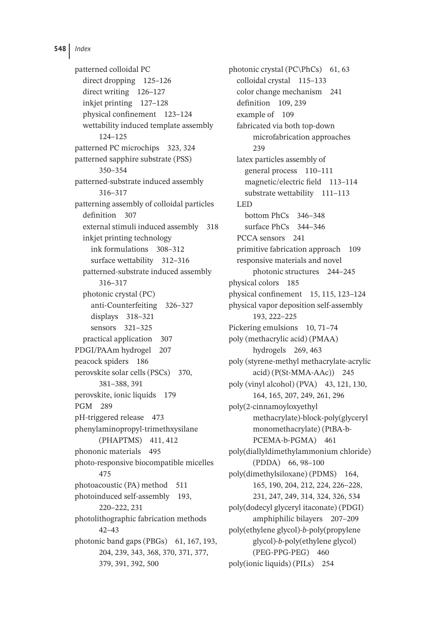patterned colloidal PC direct dropping 125–126 direct writing 126–127 inkjet printing 127–128 physical confinement 123–124 wettability induced template assembly 124–125 patterned PC microchips 323, 324 patterned sapphire substrate (PSS) 350–354 patterned-substrate induced assembly 316–317 patterning assembly of colloidal particles definition 307 external stimuli induced assembly 318 inkjet printing technology ink formulations 308–312 surface wettability 312–316 patterned-substrate induced assembly 316–317 photonic crystal (PC) anti-Counterfeiting 326–327 displays 318–321 sensors 321–325 practical application 307 PDGI/PAAm hydrogel 207 peacock spiders 186 perovskite solar cells (PSCs) 370, 381–388, 391 perovskite, ionic liquids 179 PGM 289 pH-triggered release 473 phenylaminopropyl-trimethxysilane (PHAPTMS) 411, 412 phononic materials 495 photo-responsive biocompatible micelles 475 photoacoustic (PA) method 511 photoinduced self-assembly 193, 220–222, 231 photolithographic fabrication methods 42–43 photonic band gaps (PBGs) 61, 167, 193, 204, 239, 343, 368, 370, 371, 377, 379, 391, 392, 500

photonic crystal (PC\PhCs) 61, 63 colloidal crystal 115–133 color change mechanism 241 definition 109, 239 example of 109 fabricated via both top-down microfabrication approaches 239 latex particles assembly of general process 110–111 magnetic/electric field 113–114 substrate wettability 111–113 LED bottom PhCs 346–348 surface PhCs 344–346 PCCA sensors 241 primitive fabrication approach 109 responsive materials and novel photonic structures 244–245 physical colors 185 physical confinement 15, 115, 123–124 physical vapor deposition self-assembly 193, 222–225 Pickering emulsions 10, 71–74 poly (methacrylic acid) (PMAA) hydrogels 269, 463 poly (styrene-methyl methacrylate-acrylic acid) (P(St-MMA-AAc)) 245 poly (vinyl alcohol) (PVA) 43, 121, 130, 164, 165, 207, 249, 261, 296 poly(2-cinnamoyloxyethyl methacrylate)-block-poly(glyceryl monomethacrylate) (PtBA-b-PCEMA-b-PGMA) 461 poly(diallyldimethylammonium chloride) (PDDA) 66, 98–100 poly(dimethylsiloxane) (PDMS) 164, 165, 190, 204, 212, 224, 226–228, 231, 247, 249, 314, 324, 326, 534 poly(dodecyl glyceryl itaconate) (PDGI) amphiphilic bilayers 207–209 poly(ethylene glycol)-*b*-poly(propylene glycol)-*b*-poly(ethylene glycol) (PEG-PPG-PEG) 460 poly(ionic liquids) (PILs) 254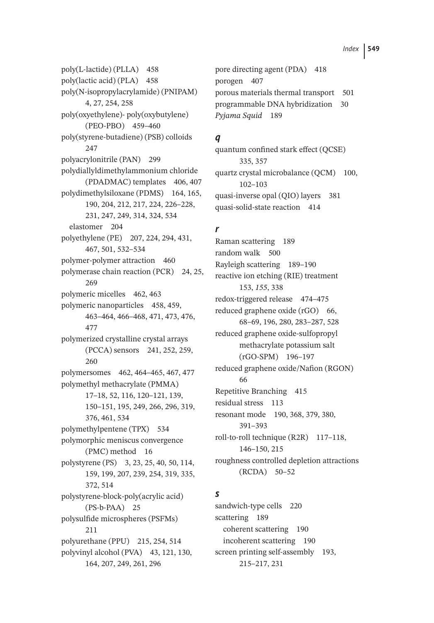poly(L-lactide) (PLLA) 458 poly(lactic acid) (PLA) 458 poly(N-isopropylacrylamide) (PNIPAM) 4, 27, 254, 258 poly(oxyethylene)- poly(oxybutylene) (PEO-PBO) 459–460 poly(styrene-butadiene) (PSB) colloids 247 polyacrylonitrile (PAN) 299 polydiallyldimethylammonium chloride (PDADMAC) templates 406, 407 polydimethylsiloxane (PDMS) 164, 165, 190, 204, 212, 217, 224, 226–228, 231, 247, 249, 314, 324, 534 elastomer 204 polyethylene (PE) 207, 224, 294, 431, 467, 501, 532–534 polymer-polymer attraction 460 polymerase chain reaction (PCR) 24, 25, 269 polymeric micelles 462, 463 polymeric nanoparticles 458, 459, 463–464, 466–468, 471, 473, 476, 477 polymerized crystalline crystal arrays (PCCA) sensors 241, 252, 259, 260 polymersomes 462, 464–465, 467, 477 polymethyl methacrylate (PMMA) 17–18, 52, 116, 120–121, 139, 150–151, 195, 249, 266, 296, 319, 376, 461, 534 polymethylpentene (TPX) 534 polymorphic meniscus convergence (PMC) method 16 polystyrene (PS) 3, 23, 25, 40, 50, 114, 159, 199, 207, 239, 254, 319, 335, 372, 514 polystyrene-block-poly(acrylic acid) (PS-b-PAA) 25 polysulfide microspheres (PSFMs) 211 polyurethane (PPU) 215, 254, 514 polyvinyl alcohol (PVA) 43, 121, 130, 164, 207, 249, 261, 296

pore directing agent (PDA) 418 porogen 407 porous materials thermal transport 501 programmable DNA hybridization 30 *Pyjama Squid* 189

### *q*

quantum confined stark effect (QCSE) 335, 357 quartz crystal microbalance (QCM) 100, 102–103 quasi-inverse opal (QIO) layers 381 quasi-solid-state reaction 414

## *r*

Raman scattering 189 random walk 500 Rayleigh scattering 189–190 reactive ion etching (RIE) treatment 153, *155*, 338 redox-triggered release 474–475 reduced graphene oxide (rGO) 66, 68–69, 196, 280, 283–287, 528 reduced graphene oxide-sulfopropyl methacrylate potassium salt (rGO-SPM) 196–197 reduced graphene oxide/Nafion (RGON) 66 Repetitive Branching 415 residual stress 113 resonant mode 190, 368, 379, 380, 391–393 roll-to-roll technique (R2R) 117-118, 146–150, 215 roughness controlled depletion attractions (RCDA) 50–52

### *s*

sandwich-type cells 220 scattering 189 coherent scattering 190 incoherent scattering 190 screen printing self-assembly 193, 215–217, 231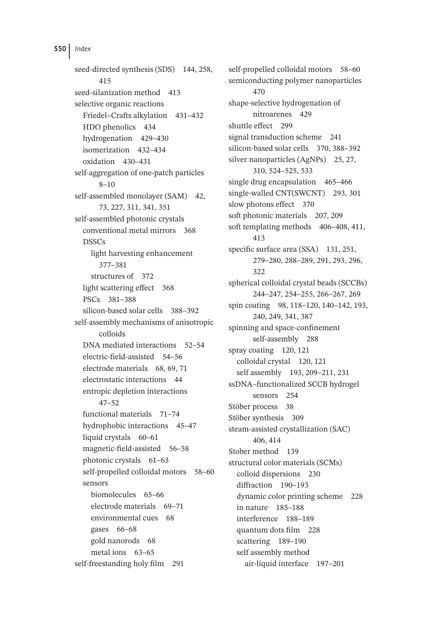seed-directed synthesis (SDS) 144, 258, 415 seed-silanization method 413 selective organic reactions Friedel–Crafts alkylation 431–432 HDO phenolics 434 hydrogenation 429–430 isomerization 432–434 oxidation 430–431 self-aggregation of one-patch particles 8–10 self-assembled monolayer (SAM) 42, 73, 227, 311, 341, 351 self-assembled photonic crystals conventional metal mirrors 368 DSSCs light harvesting enhancement 377–381 structures of 372 light scattering effect 368 PSCs 381–388 silicon-based solar cells 388–392 self-assembly mechanisms of anisotropic colloids DNA mediated interactions 52–54 electric-field-assisted 54–56 electrode materials 68, 69, 71 electrostatic interactions 44 entropic depletion interactions 47–52 functional materials 71–74 hydrophobic interactions 45–47 liquid crystals 60–61 magnetic-field-assisted 56–58 photonic crystals 61–63 self-propelled colloidal motors 58–60 sensors biomolecules 65–66 electrode materials 69–71 environmental cues 68 gases 66–68 gold nanorods 68 metal ions 63–65 self-freestanding holy film 291

self-propelled colloidal motors 58–60 semiconducting polymer nanoparticles 470 shape-selective hydrogenation of nitroarenes 429 shuttle effect 299 signal transduction scheme 241 silicon-based solar cells 370, 388–392 silver nanoparticles (AgNPs) 25, 27, 310, 524–525, 533 single drug encapsulation 465–466 single-walled CNT(SWCNT) 293, 301 slow photons effect 370 soft photonic materials 207, 209 soft templating methods 406-408, 411, 413 specific surface area (SSA) 131, 251, 279–280, 288–289, 291, 293, 296, 322 spherical colloidal crystal beads (SCCBs) 244–247, 254–255, 266–267, 269 spin coating 98, 118–120, 140–142, 193, 240, 249, 341, 387 spinning and space-confinement self-assembly 288 spray coating 120, 121 colloidal crystal 120, 121 self assembly 193, 209–211, 231 ssDNA–functionalized SCCB hydrogel sensors 254 Stöber process 38 Stöber synthesis 309 steam-assisted crystallization (SAC) 406, 414 Stober method 139 structural color materials (SCMs) colloid dispersions 230 diffraction 190–193 dynamic color printing scheme 228 in nature 185–188 interference 188–189 quantum dots film 228 scattering 189–190 self assembly method air-liquid interface 197–201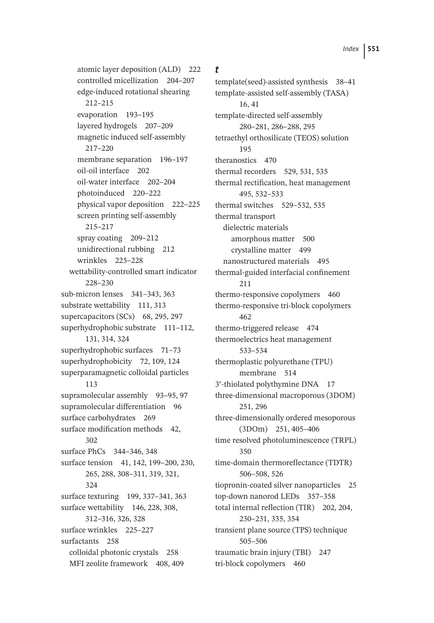atomic layer deposition (ALD) 222 controlled micellization 204–207 edge-induced rotational shearing 212–215 evaporation 193–195 layered hydrogels 207–209 magnetic induced self-assembly 217–220 membrane separation 196–197 oil-oil interface 202 oil-water interface 202–204 photoinduced 220–222 physical vapor deposition 222–225 screen printing self-assembly 215–217 spray coating 209–212 unidirectional rubbing 212 wrinkles 225–228 wettability-controlled smart indicator 228–230 sub-micron lenses 341–343, 363 substrate wettability 111, 313 supercapacitors (SCs) 68, 295, 297 superhydrophobic substrate 111–112, 131, 314, 324 superhydrophobic surfaces 71–73 superhydrophobicity 72, 109, 124 superparamagnetic colloidal particles 113 supramolecular assembly 93–95, 97 supramolecular differentiation 96 surface carbohydrates 269 surface modification methods 42, 302 surface PhCs 344–346, 348 surface tension 41, 142, 199–200, 230, 265, 288, 308–311, 319, 321, 324 surface texturing 199, 337–341, 363 surface wettability 146, 228, 308, 312–316, 326, 328 surface wrinkles 225–227 surfactants 258 colloidal photonic crystals 258 MFI zeolite framework 408, 409

## *t*

template(seed)-assisted synthesis 38–41 template-assisted self-assembly (TASA) 16, 41 template-directed self-assembly 280–281, 286–288, 295 tetraethyl orthosilicate (TEOS) solution 195 theranostics 470 thermal recorders 529, 531, 535 thermal rectification, heat management 495, 532–533 thermal switches 529–532, 535 thermal transport dielectric materials amorphous matter 500 crystalline matter 499 nanostructured materials 495 thermal-guided interfacial confinement 211 thermo-responsive copolymers 460 thermo-responsive tri-block copolymers 462 thermo-triggered release 474 thermoelectrics heat management 533–534 thermoplastic polyurethane (TPU) membrane 514 3′ -thiolated polythymine DNA 17 three-dimensional macroporous (3DOM) 251, 296 three-dimensionally ordered mesoporous (3DOm) 251, 405–406 time resolved photoluminescence (TRPL) 350 time-domain thermoreflectance (TDTR) 506–508, 526 tiopronin-coated silver nanoparticles 25 top-down nanorod LEDs 357–358 total internal reflection (TIR) 202, 204, 230–231, 335, 354 transient plane source (TPS) technique 505–506 traumatic brain injury (TBI) 247 tri-block copolymers 460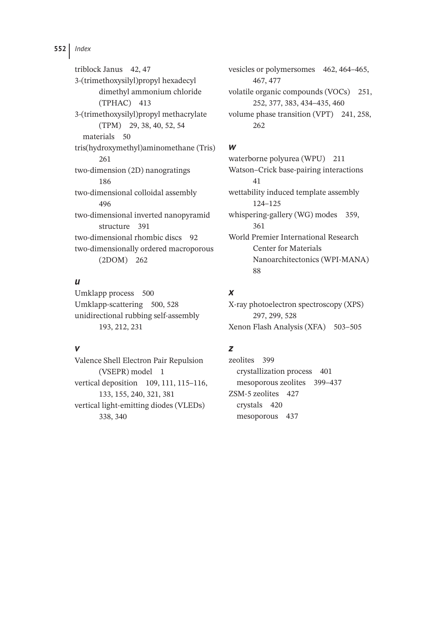triblock Janus 42, 47 3-(trimethoxysilyl)propyl hexadecyl dimethyl ammonium chloride (TPHAC) 413 3-(trimethoxysilyl)propyl methacrylate (TPM) 29, 38, 40, 52, 54 materials 50 tris(hydroxymethyl)aminomethane (Tris) 261 two-dimension (2D) nanogratings 186 two-dimensional colloidal assembly 496 two-dimensional inverted nanopyramid structure 391 two-dimensional rhombic discs 92 two-dimensionally ordered macroporous (2DOM) 262

### *u*

Umklapp process 500 Umklapp-scattering 500, 528 unidirectional rubbing self-assembly 193, 212, 231

### *v*

Valence Shell Electron Pair Repulsion (VSEPR) model 1 vertical deposition 109, 111, 115–116, 133, 155, 240, 321, 381 vertical light-emitting diodes (VLEDs) 338, 340

vesicles or polymersomes 462, 464–465, 467, 477 volatile organic compounds (VOCs) 251, 252, 377, 383, 434–435, 460 volume phase transition (VPT) 241, 258, 262

### *w*

waterborne polyurea (WPU) 211 Watson–Crick base-pairing interactions 41 wettability induced template assembly 124–125 whispering-gallery (WG) modes 359, 361 World Premier International Research Center for Materials Nanoarchitectonics (WPI-MANA) 88

# *x*

X-ray photoelectron spectroscopy (XPS) 297, 299, 528 Xenon Flash Analysis (XFA) 503–505

### *z*

zeolites 399 crystallization process 401 mesoporous zeolites 399–437 ZSM-5 zeolites 427 crystals 420 mesoporous 437